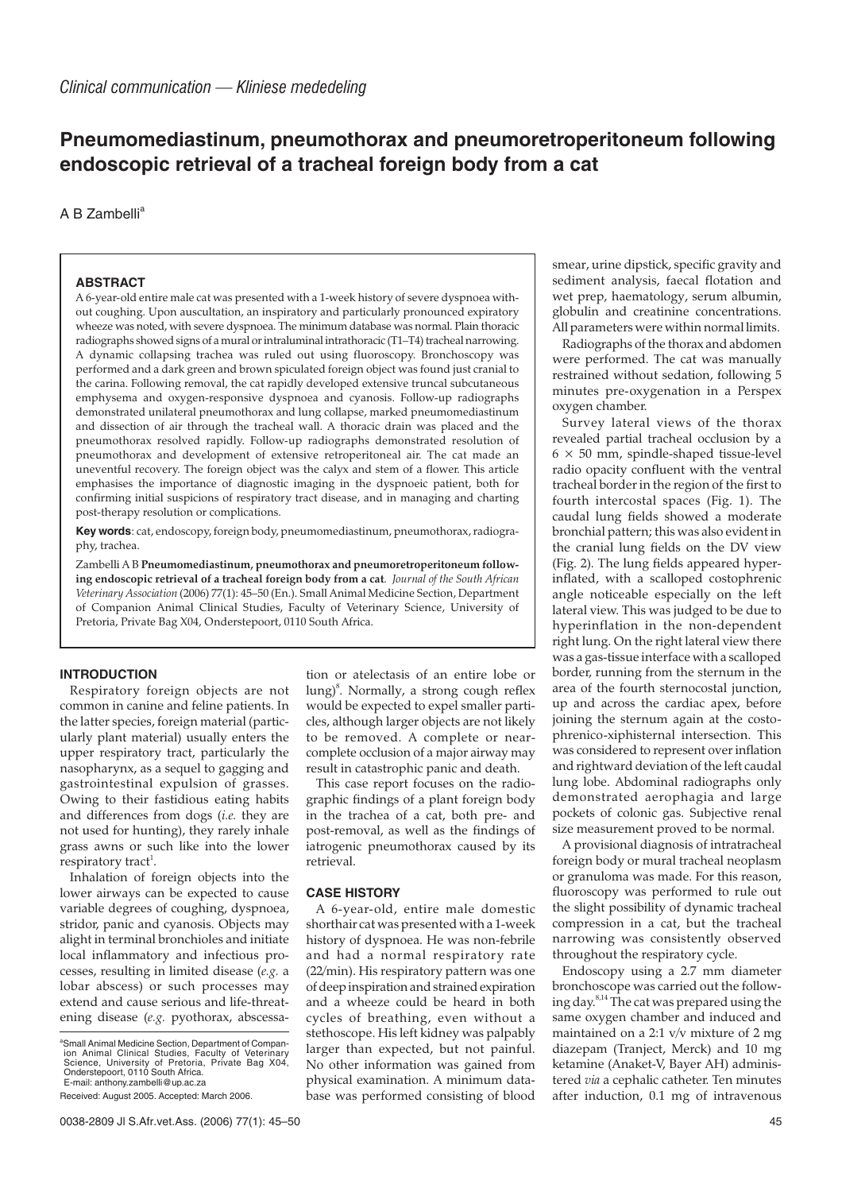# **Pneumomediastinum, pneumothorax and pneumoretroperitoneum following endoscopic retrieval of a tracheal foreign body from a cat**

 $A$  B Zambelli<sup>a</sup>

# **ABSTRACT**

A 6-year-old entire male cat was presented with a 1-week history of severe dyspnoea without coughing. Upon auscultation, an inspiratory and particularly pronounced expiratory wheeze was noted, with severe dyspnoea. The minimum database was normal. Plain thoracic radiographs showed signs of a mural or intraluminal intrathoracic (T1–T4) tracheal narrowing. A dynamic collapsing trachea was ruled out using fluoroscopy. Bronchoscopy was performed and a dark green and brown spiculated foreign object was found just cranial to the carina. Following removal, the cat rapidly developed extensive truncal subcutaneous emphysema and oxygen-responsive dyspnoea and cyanosis. Follow-up radiographs demonstrated unilateral pneumothorax and lung collapse, marked pneumomediastinum and dissection of air through the tracheal wall. A thoracic drain was placed and the pneumothorax resolved rapidly. Follow-up radiographs demonstrated resolution of pneumothorax and development of extensive retroperitoneal air. The cat made an uneventful recovery. The foreign object was the calyx and stem of a flower. This article emphasises the importance of diagnostic imaging in the dyspnoeic patient, both for confirming initial suspicions of respiratory tract disease, and in managing and charting post-therapy resolution or complications.

**Key words**: cat, endoscopy, foreign body, pneumomediastinum, pneumothorax, radiography, trachea.

Zambelli A B **Pneumomediastinum, pneumothorax and pneumoretroperitoneum following endoscopic retrieval of a tracheal foreign body from a cat**. *Journal of the South African Veterinary Association* (2006) 77(1): 45–50 (En.). Small Animal Medicine Section, Department of Companion Animal Clinical Studies, Faculty of Veterinary Science, University of Pretoria, Private Bag X04, Onderstepoort, 0110 South Africa.

## **INTRODUCTION**

Respiratory foreign objects are not common in canine and feline patients. In the latter species, foreign material (particularly plant material) usually enters the upper respiratory tract, particularly the nasopharynx, as a sequel to gagging and gastrointestinal expulsion of grasses. Owing to their fastidious eating habits and differences from dogs (*i.e.* they are not used for hunting), they rarely inhale grass awns or such like into the lower respiratory tract<sup>1</sup>.

Inhalation of foreign objects into the lower airways can be expected to cause variable degrees of coughing, dyspnoea, stridor, panic and cyanosis. Objects may alight in terminal bronchioles and initiate local inflammatory and infectious processes, resulting in limited disease (*e.g.* a lobar abscess) or such processes may extend and cause serious and life-threatening disease (*e.g.* pyothorax, abscessa-

a Small Animal Medicine Section, Department of Compan-<br>ion Animal Clinical Studies, Faculty of Veterinary Science, University of Pretoria, Private Bag X04, Onderstepoort, 0110 South Africa. E-mail: anthony.zambelli@up.ac.za

tion or atelectasis of an entire lobe or lung)<sup>8</sup>. Normally, a strong cough reflex would be expected to expel smaller particles, although larger objects are not likely to be removed. A complete or nearcomplete occlusion of a major airway may result in catastrophic panic and death.

This case report focuses on the radiographic findings of a plant foreign body in the trachea of a cat, both pre- and post-removal, as well as the findings of iatrogenic pneumothorax caused by its retrieval.

# **CASE HISTORY**

A 6-year-old, entire male domestic shorthair cat was presented with a 1-week history of dyspnoea. He was non-febrile and had a normal respiratory rate (22/min). His respiratory pattern was one of deep inspiration and strained expiration and a wheeze could be heard in both cycles of breathing, even without a stethoscope. His left kidney was palpably larger than expected, but not painful. No other information was gained from physical examination. A minimum database was performed consisting of blood smear, urine dipstick, specific gravity and sediment analysis, faecal flotation and wet prep, haematology, serum albumin, globulin and creatinine concentrations. All parameters were within normal limits.

Radiographs of the thorax and abdomen were performed. The cat was manually restrained without sedation, following 5 minutes pre-oxygenation in a Perspex oxygen chamber.

Survey lateral views of the thorax revealed partial tracheal occlusion by a  $6 \times 50$  mm, spindle-shaped tissue-level radio opacity confluent with the ventral tracheal border in the region of the first to fourth intercostal spaces (Fig. 1). The caudal lung fields showed a moderate bronchial pattern; this was also evident in the cranial lung fields on the DV view (Fig. 2). The lung fields appeared hyperinflated, with a scalloped costophrenic angle noticeable especially on the left lateral view. This was judged to be due to hyperinflation in the non-dependent right lung. On the right lateral view there was a gas-tissue interface with a scalloped border, running from the sternum in the area of the fourth sternocostal junction, up and across the cardiac apex, before joining the sternum again at the costophrenico-xiphisternal intersection. This was considered to represent over inflation and rightward deviation of the left caudal lung lobe. Abdominal radiographs only demonstrated aerophagia and large pockets of colonic gas. Subjective renal size measurement proved to be normal.

A provisional diagnosis of intratracheal foreign body or mural tracheal neoplasm or granuloma was made. For this reason, fluoroscopy was performed to rule out the slight possibility of dynamic tracheal compression in a cat, but the tracheal narrowing was consistently observed throughout the respiratory cycle.

Endoscopy using a 2.7 mm diameter bronchoscope was carried out the following day.8,14 The cat was prepared using the same oxygen chamber and induced and maintained on a 2:1 v/v mixture of 2 mg diazepam (Tranject, Merck) and 10 mg ketamine (Anaket-V, Bayer AH) administered *via* a cephalic catheter. Ten minutes after induction, 0.1 mg of intravenous

Received: August 2005. Accepted: March 2006.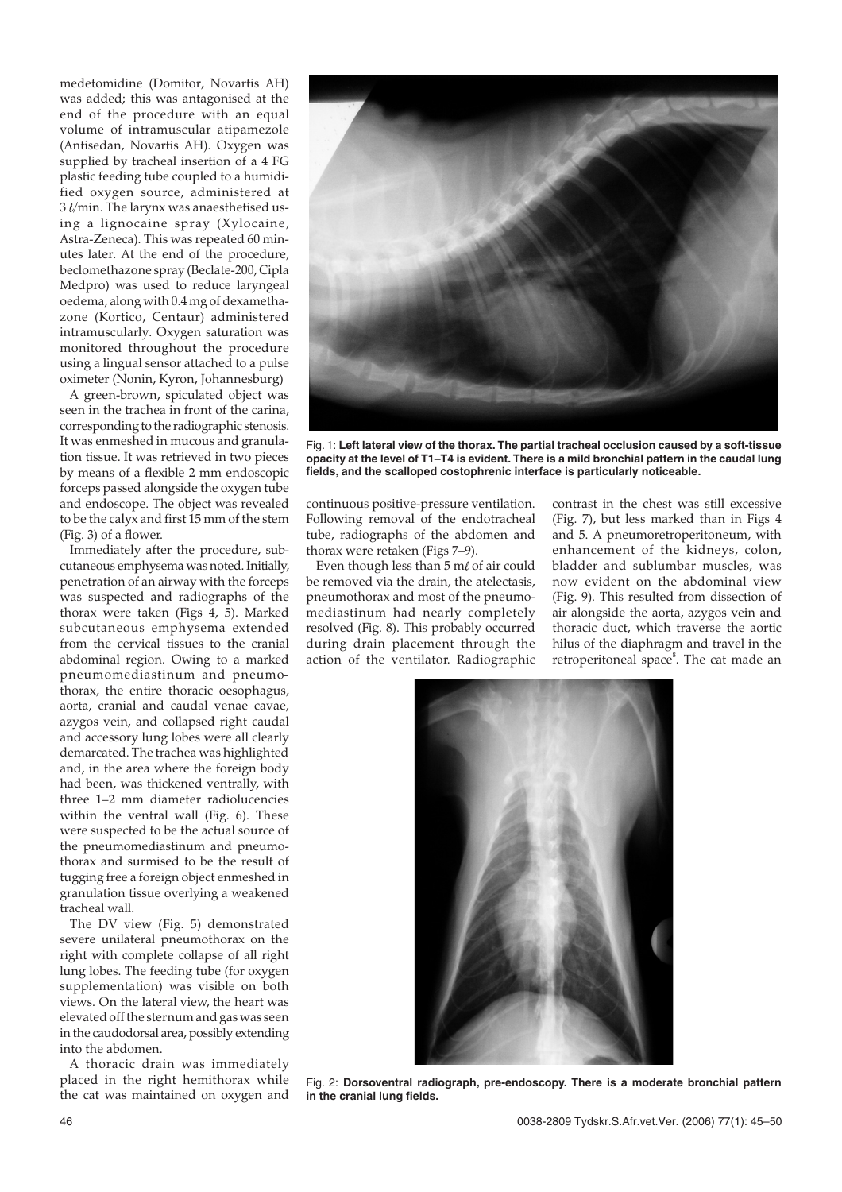medetomidine (Domitor, Novartis AH) was added; this was antagonised at the end of the procedure with an equal volume of intramuscular atipamezole (Antisedan, Novartis AH). Oxygen was supplied by tracheal insertion of a 4 FG plastic feeding tube coupled to a humidified oxygen source, administered at 3  $\ell$ /min. The larynx was anaesthetised using a lignocaine spray (Xylocaine, Astra-Zeneca). This was repeated 60 minutes later. At the end of the procedure, beclomethazone spray (Beclate-200, Cipla Medpro) was used to reduce laryngeal oedema, along with 0.4 mg of dexamethazone (Kortico, Centaur) administered intramuscularly. Oxygen saturation was monitored throughout the procedure using a lingual sensor attached to a pulse oximeter (Nonin, Kyron, Johannesburg)

A green-brown, spiculated object was seen in the trachea in front of the carina, corresponding to the radiographic stenosis. It was enmeshed in mucous and granulation tissue. It was retrieved in two pieces by means of a flexible 2 mm endoscopic forceps passed alongside the oxygen tube and endoscope. The object was revealed to be the calyx and first 15 mm of the stem (Fig. 3) of a flower.

Immediately after the procedure, subcutaneous emphysema was noted. Initially, penetration of an airway with the forceps was suspected and radiographs of the thorax were taken (Figs 4, 5). Marked subcutaneous emphysema extended from the cervical tissues to the cranial abdominal region. Owing to a marked pneumomediastinum and pneumothorax, the entire thoracic oesophagus, aorta, cranial and caudal venae cavae, azygos vein, and collapsed right caudal and accessory lung lobes were all clearly demarcated. The trachea was highlighted and, in the area where the foreign body had been, was thickened ventrally, with three 1–2 mm diameter radiolucencies within the ventral wall (Fig. 6). These were suspected to be the actual source of the pneumomediastinum and pneumothorax and surmised to be the result of tugging free a foreign object enmeshed in granulation tissue overlying a weakened tracheal wall.

The DV view (Fig. 5) demonstrated severe unilateral pneumothorax on the right with complete collapse of all right lung lobes. The feeding tube (for oxygen supplementation) was visible on both views. On the lateral view, the heart was elevated off the sternum and gas was seen in the caudodorsal area, possibly extending into the abdomen.

A thoracic drain was immediately placed in the right hemithorax while the cat was maintained on oxygen and



Fig. 1: **Left lateral view of the thorax. The partial tracheal occlusion caused by a soft-tissue opacity at the level of T1–T4 is evident. There is a mild bronchial pattern in the caudal lung fields, and the scalloped costophrenic interface is particularly noticeable.**

continuous positive-pressure ventilation. Following removal of the endotracheal tube, radiographs of the abdomen and thorax were retaken (Figs 7–9).

Even though less than  $5 \text{ m} \ell$  of air could be removed via the drain, the atelectasis, pneumothorax and most of the pneumomediastinum had nearly completely resolved (Fig. 8). This probably occurred during drain placement through the action of the ventilator. Radiographic

contrast in the chest was still excessive (Fig. 7), but less marked than in Figs 4 and 5. A pneumoretroperitoneum, with enhancement of the kidneys, colon, bladder and sublumbar muscles, was now evident on the abdominal view (Fig. 9). This resulted from dissection of air alongside the aorta, azygos vein and thoracic duct, which traverse the aortic hilus of the diaphragm and travel in the retroperitoneal space<sup>8</sup>. The cat made an



Fig. 2: **Dorsoventral radiograph, pre-endoscopy. There is a moderate bronchial pattern in the cranial lung fields.**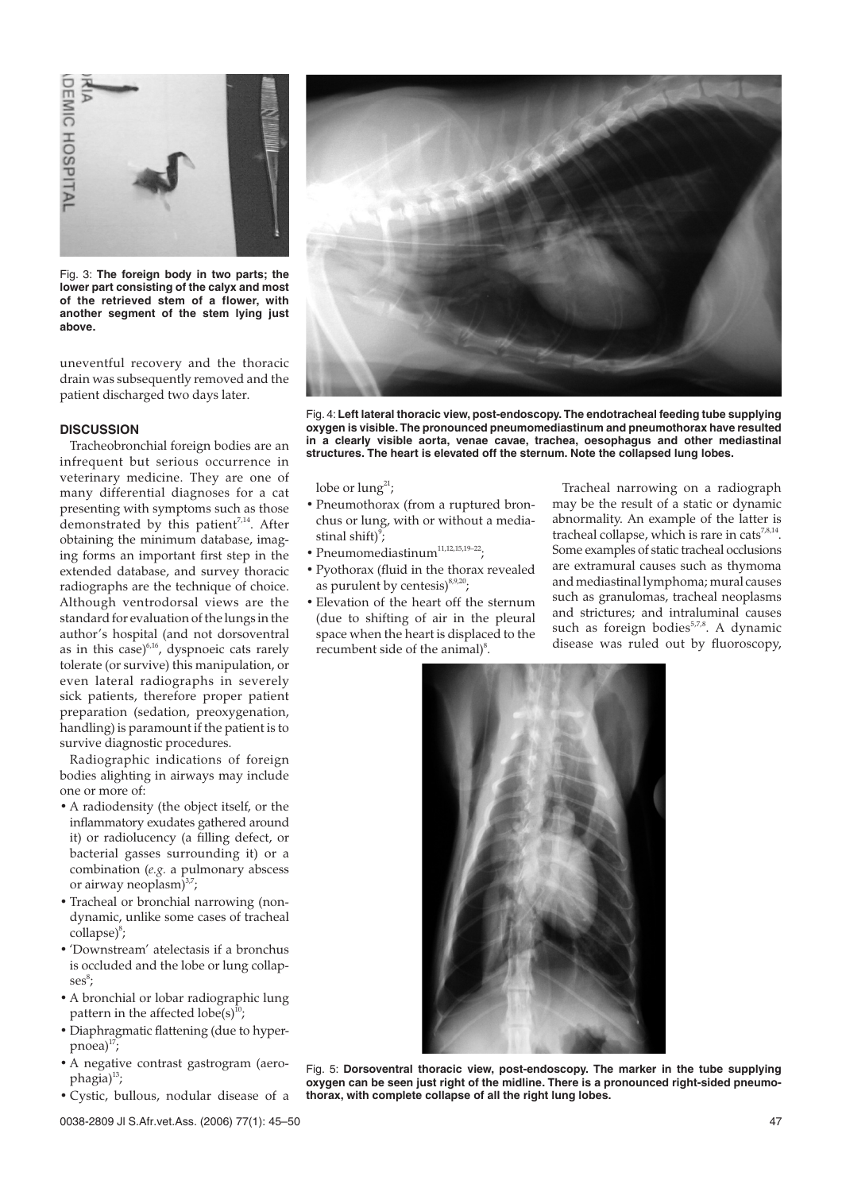

Fig. 3: **The foreign body in two parts; the lower part consisting of the calyx and most of the retrieved stem of a flower, with another segment of the stem lying just above.**

uneventful recovery and the thoracic drain was subsequently removed and the patient discharged two days later.

#### **DISCUSSION**

Tracheobronchial foreign bodies are an infrequent but serious occurrence in veterinary medicine. They are one of many differential diagnoses for a cat presenting with symptoms such as those demonstrated by this patient<sup>7,14</sup>. After obtaining the minimum database, imaging forms an important first step in the extended database, and survey thoracic radiographs are the technique of choice. Although ventrodorsal views are the standard for evaluation of the lungs in the author's hospital (and not dorsoventral as in this case) $6,16$ , dyspnoeic cats rarely tolerate (or survive) this manipulation, or even lateral radiographs in severely sick patients, therefore proper patient preparation (sedation, preoxygenation, handling) is paramount if the patient is to survive diagnostic procedures.

Radiographic indications of foreign bodies alighting in airways may include one or more of:

- A radiodensity (the object itself, or the inflammatory exudates gathered around it) or radiolucency (a filling defect, or bacterial gasses surrounding it) or a combination (*e.g.* a pulmonary abscess or airway neoplasm $)^{3,7}$ ;
- Tracheal or bronchial narrowing (nondynamic, unlike some cases of tracheal collapse)<sup>8</sup>;
- 'Downstream' atelectasis if a bronchus is occluded and the lobe or lung collap- $\mathrm{ses}^\mathrm{s}$ ;
- A bronchial or lobar radiographic lung pattern in the affected  $lobe(s)^{10}$ ;
- Diaphragmatic flattening (due to hyper $pnoea$ <sup>17</sup>;
- A negative contrast gastrogram (aerophagia)<sup>13</sup>;
- Cystic, bullous, nodular disease of a



Fig. 4: **Left lateral thoracic view, post-endoscopy. The endotracheal feeding tube supplying oxygen is visible. The pronounced pneumomediastinum and pneumothorax have resulted in a clearly visible aorta, venae cavae, trachea, oesophagus and other mediastinal structures. The heart is elevated off the sternum. Note the collapsed lung lobes.**

lobe or  $\text{lung}^{21}$ ;

- Pneumothorax (from a ruptured bronchus or lung, with or without a mediastinal shift $)^{9}$ ;
- $\bullet$  Pneumomediastinum $^{11,12,15,19-22}$ :
- Pyothorax (fluid in the thorax revealed as purulent by centesis $)^{8,9,20}$ ;
- Elevation of the heart off the sternum (due to shifting of air in the pleural space when the heart is displaced to the recumbent side of the animal)<sup>8</sup>.

Tracheal narrowing on a radiograph may be the result of a static or dynamic abnormality. An example of the latter is tracheal collapse, which is rare in cats<sup>7,8,14</sup>. Some examples of static tracheal occlusions are extramural causes such as thymoma and mediastinal lymphoma; mural causes such as granulomas, tracheal neoplasms and strictures; and intraluminal causes such as foreign bodies<sup>5,7,8</sup>. A dynamic disease was ruled out by fluoroscopy,



Fig. 5: **Dorsoventral thoracic view, post-endoscopy. The marker in the tube supplying oxygen can be seen just right of the midline. There is a pronounced right-sided pneumothorax, with complete collapse of all the right lung lobes.**

0038-2809 Jl S.Afr.vet.Ass. (2006) 77(1): 45–50 47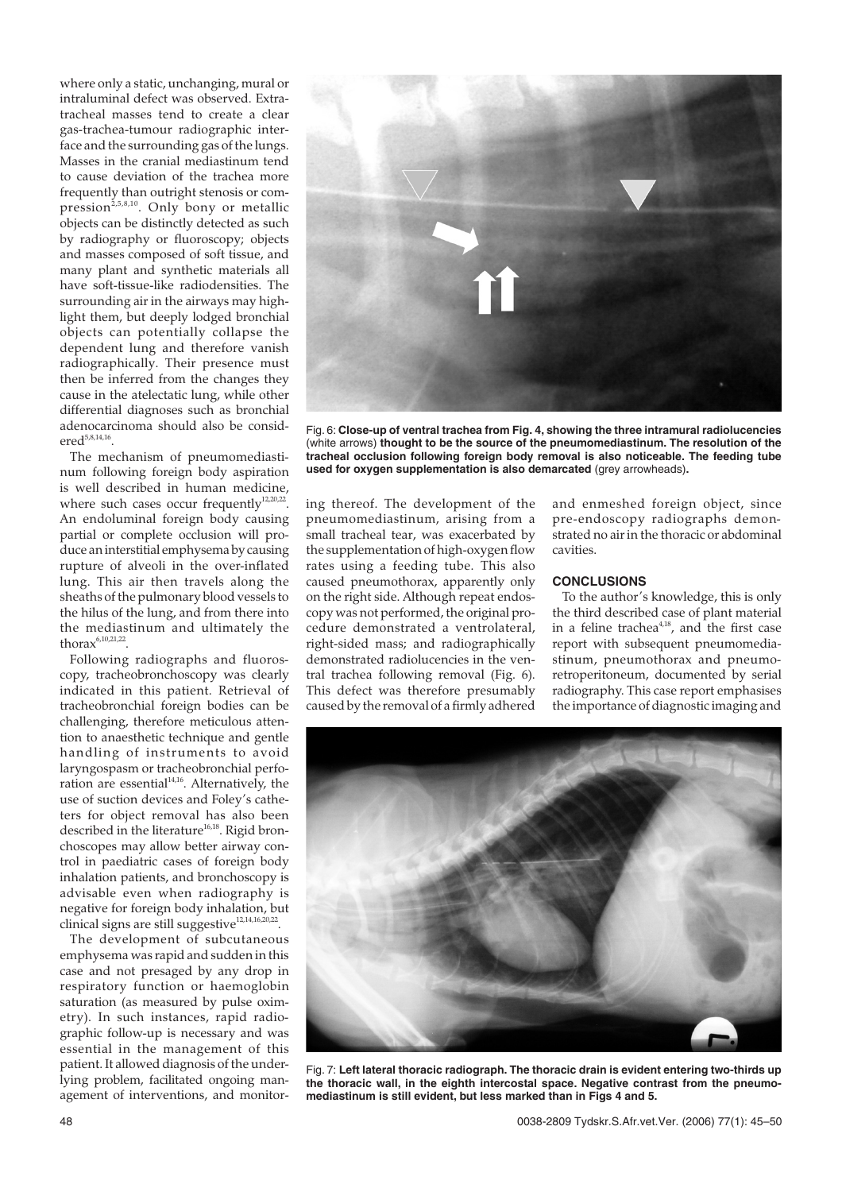where only a static, unchanging, mural or intraluminal defect was observed. Extratracheal masses tend to create a clear gas-trachea-tumour radiographic interface and the surrounding gas of the lungs. Masses in the cranial mediastinum tend to cause deviation of the trachea more frequently than outright stenosis or compression<sup>2,5,8,10</sup>. Only bony or metallic objects can be distinctly detected as such by radiography or fluoroscopy; objects and masses composed of soft tissue, and many plant and synthetic materials all have soft-tissue-like radiodensities. The surrounding air in the airways may highlight them, but deeply lodged bronchial objects can potentially collapse the dependent lung and therefore vanish radiographically. Their presence must then be inferred from the changes they cause in the atelectatic lung, while other differential diagnoses such as bronchial adenocarcinoma should also be consid $ered<sup>5,8,14,16</sup>$ 

The mechanism of pneumomediastinum following foreign body aspiration is well described in human medicine, where such cases occur frequently $12,20,22$ . An endoluminal foreign body causing partial or complete occlusion will produce aninterstitial emphysema by causing rupture of alveoli in the over-inflated lung. This air then travels along the sheaths of the pulmonary blood vessels to the hilus of the lung, and from there into the mediastinum and ultimately the thora $x^{6,10,21,22}$ 

Following radiographs and fluoroscopy, tracheobronchoscopy was clearly indicated in this patient. Retrieval of tracheobronchial foreign bodies can be challenging, therefore meticulous attention to anaesthetic technique and gentle handling of instruments to avoid laryngospasm or tracheobronchial perforation are essential<sup>14,16</sup>. Alternatively, the use of suction devices and Foley's catheters for object removal has also been described in the literature<sup>16,18</sup>. Rigid bronchoscopes may allow better airway control in paediatric cases of foreign body inhalation patients, and bronchoscopy is advisable even when radiography is negative for foreign body inhalation, but clinical signs are still suggestive<sup>12,14,16,20,22</sup>.

The development of subcutaneous emphysema was rapid and sudden in this case and not presaged by any drop in respiratory function or haemoglobin saturation (as measured by pulse oximetry). In such instances, rapid radiographic follow-up is necessary and was essential in the management of this patient. It allowed diagnosis of the underlying problem, facilitated ongoing management of interventions, and monitor-



Fig. 6: **Close-up of ventral trachea from Fig. 4, showing the three intramural radiolucencies** (white arrows) **thought to be the source of the pneumomediastinum. The resolution of the tracheal occlusion following foreign body removal is also noticeable. The feeding tube used for oxygen supplementation is also demarcated** (grey arrowheads)**.**

ing thereof. The development of the pneumomediastinum, arising from a small tracheal tear, was exacerbated by the supplementation of high-oxygen flow rates using a feeding tube. This also caused pneumothorax, apparently only on the right side. Although repeat endoscopy was not performed, the original procedure demonstrated a ventrolateral, right-sided mass; and radiographically demonstrated radiolucencies in the ventral trachea following removal (Fig. 6). This defect was therefore presumably caused by the removal of a firmly adhered

and enmeshed foreign object, since pre-endoscopy radiographs demonstrated no air in the thoracic or abdominal cavities.

# **CONCLUSIONS**

To the author's knowledge, this is only the third described case of plant material in a feline trachea<sup>4,18</sup>, and the first case report with subsequent pneumomediastinum, pneumothorax and pneumoretroperitoneum, documented by serial radiography. This case report emphasises the importance of diagnostic imaging and



Fig. 7: **Left lateral thoracic radiograph. The thoracic drain is evident entering two-thirds up the thoracic wall, in the eighth intercostal space. Negative contrast from the pneumomediastinum is still evident, but less marked than in Figs 4 and 5.**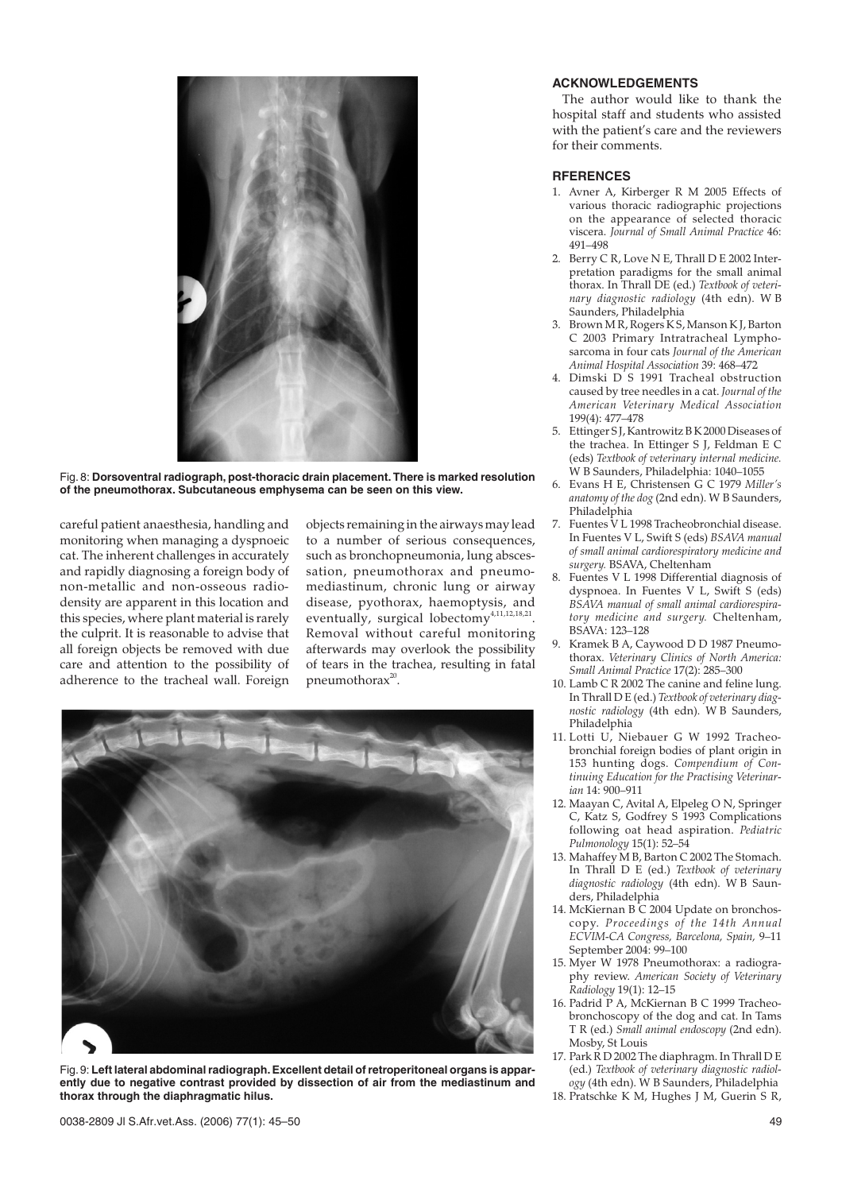

Fig. 8: **Dorsoventral radiograph, post-thoracic drain placement. There is marked resolution of the pneumothorax. Subcutaneous emphysema can be seen on this view.**

careful patient anaesthesia, handling and monitoring when managing a dyspnoeic cat. The inherent challenges in accurately and rapidly diagnosing a foreign body of non-metallic and non-osseous radiodensity are apparent in this location and this species, where plant material is rarely the culprit. It is reasonable to advise that all foreign objects be removed with due care and attention to the possibility of adherence to the tracheal wall. Foreign

objects remaining in the airways may lead to a number of serious consequences, such as bronchopneumonia, lung abscessation, pneumothorax and pneumomediastinum, chronic lung or airway disease, pyothorax, haemoptysis, and eventually, surgical lobectomy<sup>4,11,12,18,21</sup>. Removal without careful monitoring afterwards may overlook the possibility of tears in the trachea, resulting in fatal pneumothora $x^{20}$ .



Fig.9: **Left lateral abdominal radiograph. Excellent detail of retroperitoneal organs is apparently due to negative contrast provided by dissection of air from the mediastinum and thorax through the diaphragmatic hilus.**

# **ACKNOWLEDGEMENTS**

The author would like to thank the hospital staff and students who assisted with the patient's care and the reviewers for their comments.

#### **RFERENCES**

- 1. Avner A, Kirberger R M 2005 Effects of various thoracic radiographic projections on the appearance of selected thoracic viscera. *Journal of Small Animal Practice* 46: 491–498
- 2. Berry C R, Love N E, Thrall D E 2002 Interpretation paradigms for the small animal thorax. In Thrall DE (ed.) *Textbook of veterinary diagnostic radiology* (4th edn). W B Saunders, Philadelphia
- 3. Brown M R, Rogers K S, Manson K J, Barton C 2003 Primary Intratracheal Lymphosarcoma in four cats *Journal of the American Animal Hospital Association* 39: 468–472
- 4. Dimski D<sup>'</sup>S 1991 Tracheal obstruction caused by tree needles in a cat. *Journal of the American Veterinary Medical Association* 199(4): 477–478
- 5. Ettinger S J, Kantrowitz B K 2000 Diseases of the trachea. In Ettinger S J, Feldman E C (eds) *Textbook of veterinary internal medicine.* W B Saunders, Philadelphia: 1040–1055
- 6. Evans H E, Christensen G C 1979 *Miller's anatomy of the dog* (2nd edn). W B Saunders, Philadelphia
- 7. Fuentes V L 1998 Tracheobronchial disease. In Fuentes V L, Swift S (eds) *BSAVA manual of small animal cardiorespiratory medicine and surgery.* BSAVA, Cheltenham
- 8. Fuentes V L 1998 Differential diagnosis of dyspnoea. In Fuentes V L, Swift S (eds) *BSAVA manual of small animal cardiorespiratory medicine and surgery.* Cheltenham, BSAVA: 123–128
- 9. Kramek B A, Caywood D D 1987 Pneumothorax. *Veterinary Clinics of North America: Small Animal Practice* 17(2): 285–300
- 10. Lamb C R 2002 The canine and feline lung. In Thrall D E (ed.) *Textbook of veterinary diagnostic radiology* (4th edn). W B Saunders, Philadelphia
- 11. Lotti U, Niebauer G W 1992 Tracheobronchial foreign bodies of plant origin in 153 hunting dogs. *Compendium of Continuing Education for the Practising Veterinarian* 14: 900–911
- 12. Maayan C, Avital A, Elpeleg O N, Springer C, Katz S, Godfrey S 1993 Complications following oat head aspiration. *Pediatric Pulmonology* 15(1): 52–54
- 13. Mahaffey M B, Barton C 2002 The Stomach. In Thrall D E (ed.) *Textbook of veterinary diagnostic radiology* (4th edn). W B Saunders, Philadelphia
- 14. McKiernan B C 2004 Update on bronchoscopy. *Proceedings of the 14th Annual ECVIM-CA Congress, Barcelona, Spain,* 9–11 September 2004: 99–100
- 15. Myer W 1978 Pneumothorax: a radiography review. *American Society of Veterinary Radiology* 19(1): 12–15
- 16. Padrid P A, McKiernan B C 1999 Tracheobronchoscopy of the dog and cat. In Tams T R (ed.) *Small animal endoscopy* (2nd edn). Mosby, St Louis
- 17. Park R D 2002 The diaphragm. In Thrall D E (ed.) *Textbook of veterinary diagnostic radiology* (4th edn). W B Saunders, Philadelphia
- 18. Pratschke K M, Hughes J M, Guerin S R,